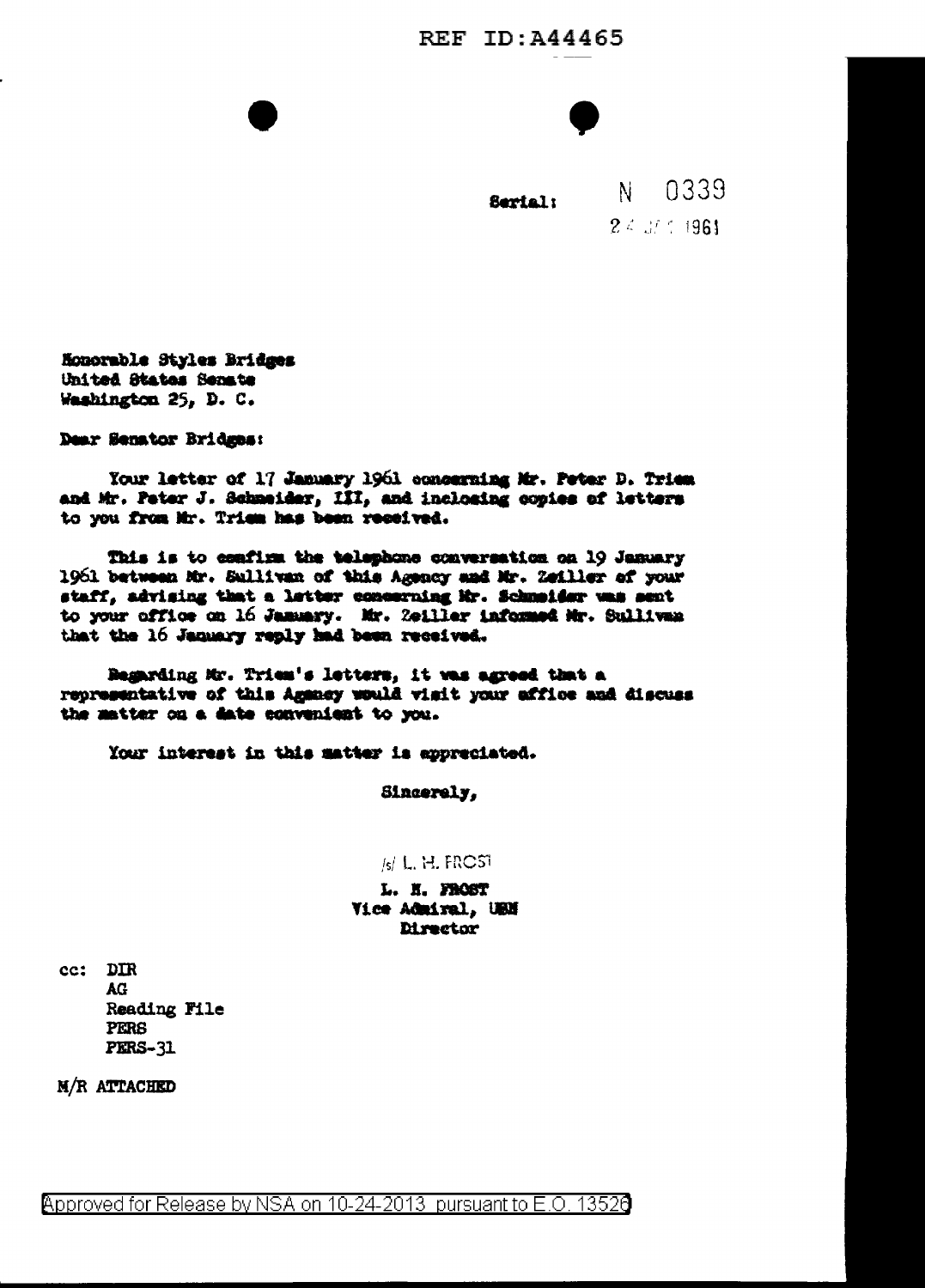## **REF ID:A44465**



Sarial:

0339 N.  $24.37 \pm 1961$ 

Honorable Styles Bridges United States Senate Washington 25, D. C.

Dear Senator Bridges:

Your letter of 17 January 1961 concerning Mr. Peter D. Tries. and Mr. Peter J. Schmeider, III, and inclosing copies of letters to you from Mr. Triem has been received.

This is to confirm the telephone conversation on 19 January 1961 between Mr. Sullivan of this Agency and Mr. Zeiller of your staff, advising that a letter concerning Mr. Schmeider was sent to your office on 16 January. Mr. 2011ler informed Mr. Sullivan that the 16 January reply had been received.

Begarding Mr. Triem's letters, it was agreed that a representative of this Agency would visit your affloe and discuss the matter on a date convenient to you.

Your interest in this matter is appreciated.

Sincerely.

## $\vert$ <sub>s</sub> $\vert$  L, H, FRCST

L. H. FROST Vice Admiral, UEN **Director** 

cc: DIR **AG** Reading File **PERS PERS-31** 

M/R ATTACHED

Approved for Release by NSA on 10-24-2013 pursuant to E.O. 13520